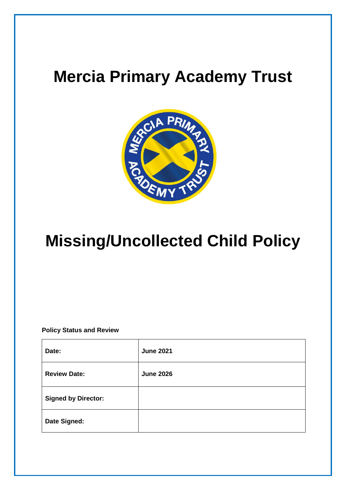## **Mercia Primary Academy Trust**



# **Missing/Uncollected Child Policy**

**Policy Status and Review**

| Date:                      | <b>June 2021</b> |
|----------------------------|------------------|
| <b>Review Date:</b>        | <b>June 2026</b> |
| <b>Signed by Director:</b> |                  |
| Date Signed:               |                  |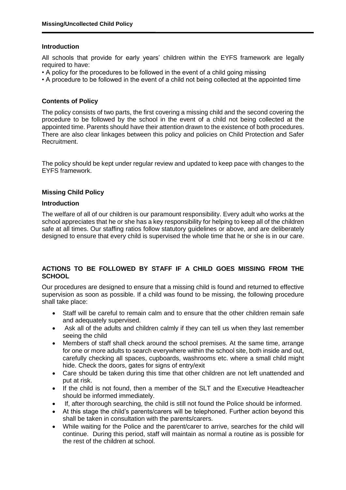#### **Introduction**

All schools that provide for early years' children within the EYFS framework are legally required to have:

- A policy for the procedures to be followed in the event of a child going missing
- A procedure to be followed in the event of a child not being collected at the appointed time

## **Contents of Policy**

The policy consists of two parts, the first covering a missing child and the second covering the procedure to be followed by the school in the event of a child not being collected at the appointed time. Parents should have their attention drawn to the existence of both procedures. There are also clear linkages between this policy and policies on Child Protection and Safer Recruitment.

The policy should be kept under regular review and updated to keep pace with changes to the EYFS framework.

## **Missing Child Policy**

#### **Introduction**

The welfare of all of our children is our paramount responsibility. Every adult who works at the school appreciates that he or she has a key responsibility for helping to keep all of the children safe at all times. Our staffing ratios follow statutory guidelines or above, and are deliberately designed to ensure that every child is supervised the whole time that he or she is in our care.

## **ACTIONS TO BE FOLLOWED BY STAFF IF A CHILD GOES MISSING FROM THE SCHOOL**

Our procedures are designed to ensure that a missing child is found and returned to effective supervision as soon as possible. If a child was found to be missing, the following procedure shall take place:

- Staff will be careful to remain calm and to ensure that the other children remain safe and adequately supervised.
- Ask all of the adults and children calmly if they can tell us when they last remember seeing the child
- Members of staff shall check around the school premises. At the same time, arrange for one or more adults to search everywhere within the school site, both inside and out, carefully checking all spaces, cupboards, washrooms etc. where a small child might hide. Check the doors, gates for signs of entry/exit
- Care should be taken during this time that other children are not left unattended and put at risk.
- If the child is not found, then a member of the SLT and the Executive Headteacher should be informed immediately.
- If, after thorough searching, the child is still not found the Police should be informed.
- At this stage the child's parents/carers will be telephoned. Further action beyond this shall be taken in consultation with the parents/carers.
- While waiting for the Police and the parent/carer to arrive, searches for the child will continue. During this period, staff will maintain as normal a routine as is possible for the rest of the children at school.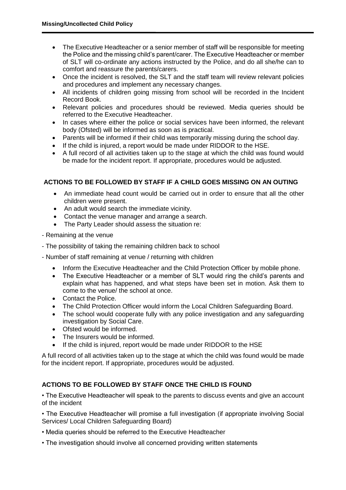- The Executive Headteacher or a senior member of staff will be responsible for meeting the Police and the missing child's parent/carer. The Executive Headteacher or member of SLT will co-ordinate any actions instructed by the Police, and do all she/he can to comfort and reassure the parents/carers.
- Once the incident is resolved, the SLT and the staff team will review relevant policies and procedures and implement any necessary changes.
- All incidents of children going missing from school will be recorded in the Incident Record Book.
- Relevant policies and procedures should be reviewed. Media queries should be referred to the Executive Headteacher.
- In cases where either the police or social services have been informed, the relevant body (Ofsted) will be informed as soon as is practical.
- Parents will be informed if their child was temporarily missing during the school day.
- If the child is injured, a report would be made under RIDDOR to the HSE.
- A full record of all activities taken up to the stage at which the child was found would be made for the incident report. If appropriate, procedures would be adjusted.

## **ACTIONS TO BE FOLLOWED BY STAFF IF A CHILD GOES MISSING ON AN OUTING**

- An immediate head count would be carried out in order to ensure that all the other children were present.
- An adult would search the immediate vicinity.
- Contact the venue manager and arrange a search.
- The Party Leader should assess the situation re:
- Remaining at the venue
- The possibility of taking the remaining children back to school
- Number of staff remaining at venue / returning with children
	- Inform the Executive Headteacher and the Child Protection Officer by mobile phone.
	- The Executive Headteacher or a member of SLT would ring the child's parents and explain what has happened, and what steps have been set in motion. Ask them to come to the venue/ the school at once.
	- Contact the Police.
	- The Child Protection Officer would inform the Local Children Safeguarding Board.
	- The school would cooperate fully with any police investigation and any safeguarding investigation by Social Care.
	- Ofsted would be informed.
	- The Insurers would be informed.
	- If the child is injured, report would be made under RIDDOR to the HSE

A full record of all activities taken up to the stage at which the child was found would be made for the incident report. If appropriate, procedures would be adjusted.

## **ACTIONS TO BE FOLLOWED BY STAFF ONCE THE CHILD IS FOUND**

• The Executive Headteacher will speak to the parents to discuss events and give an account of the incident

• The Executive Headteacher will promise a full investigation (if appropriate involving Social Services/ Local Children Safeguarding Board)

- Media queries should be referred to the Executive Headteacher
- The investigation should involve all concerned providing written statements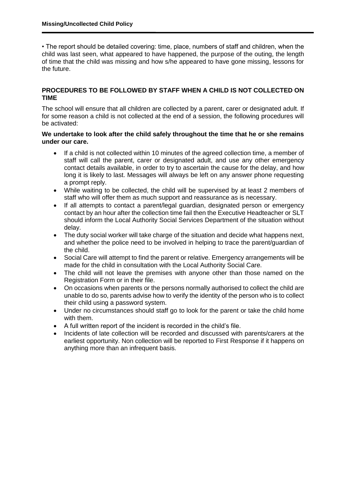• The report should be detailed covering: time, place, numbers of staff and children, when the child was last seen, what appeared to have happened, the purpose of the outing, the length of time that the child was missing and how s/he appeared to have gone missing, lessons for the future.

#### **PROCEDURES TO BE FOLLOWED BY STAFF WHEN A CHILD IS NOT COLLECTED ON TIME**

The school will ensure that all children are collected by a parent, carer or designated adult. If for some reason a child is not collected at the end of a session, the following procedures will be activated:

#### **We undertake to look after the child safely throughout the time that he or she remains under our care.**

- If a child is not collected within 10 minutes of the agreed collection time, a member of staff will call the parent, carer or designated adult, and use any other emergency contact details available, in order to try to ascertain the cause for the delay, and how long it is likely to last. Messages will always be left on any answer phone requesting a prompt reply.
- While waiting to be collected, the child will be supervised by at least 2 members of staff who will offer them as much support and reassurance as is necessary.
- If all attempts to contact a parent/legal guardian, designated person or emergency contact by an hour after the collection time fail then the Executive Headteacher or SLT should inform the Local Authority Social Services Department of the situation without delay.
- The duty social worker will take charge of the situation and decide what happens next, and whether the police need to be involved in helping to trace the parent/guardian of the child.
- Social Care will attempt to find the parent or relative. Emergency arrangements will be made for the child in consultation with the Local Authority Social Care.
- The child will not leave the premises with anyone other than those named on the Registration Form or in their file.
- On occasions when parents or the persons normally authorised to collect the child are unable to do so, parents advise how to verify the identity of the person who is to collect their child using a password system.
- Under no circumstances should staff go to look for the parent or take the child home with them.
- A full written report of the incident is recorded in the child's file.
- Incidents of late collection will be recorded and discussed with parents/carers at the earliest opportunity. Non collection will be reported to First Response if it happens on anything more than an infrequent basis.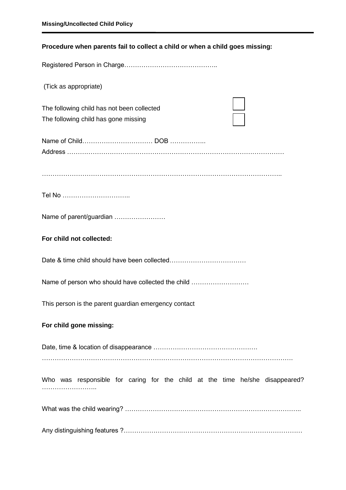## **Procedure when parents fail to collect a child or when a child goes missing:**

Registered Person in Charge……………………………………..

(Tick as appropriate)

The following child has not been collected The following child has gone missing

| Address |  |
|---------|--|

…………………………………………………………………………………………………..

Tel No …………………………..

Name of parent/guardian ……………………

#### **For child not collected:**

Date & time child should have been collected………………………………

Name of person who should have collected the child ………………………

This person is the parent guardian emergency contact

#### **For child gone missing:**

Date, time & location of disappearance …………………………………………. ……………………………………………………………………………………………………….

Who was responsible for caring for the child at the time he/she disappeared? ……………………………

What was the child wearing? ………………………………………………………………………..

Any distinguishing features ?…………………………………………………………………………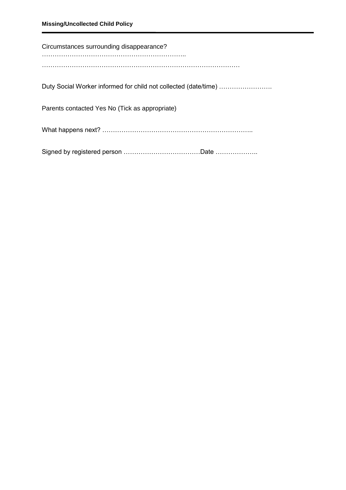| Circumstances surrounding disappearance?                        |
|-----------------------------------------------------------------|
|                                                                 |
|                                                                 |
| Duty Social Worker informed for child not collected (date/time) |
| Parents contacted Yes No (Tick as appropriate)                  |
|                                                                 |
|                                                                 |